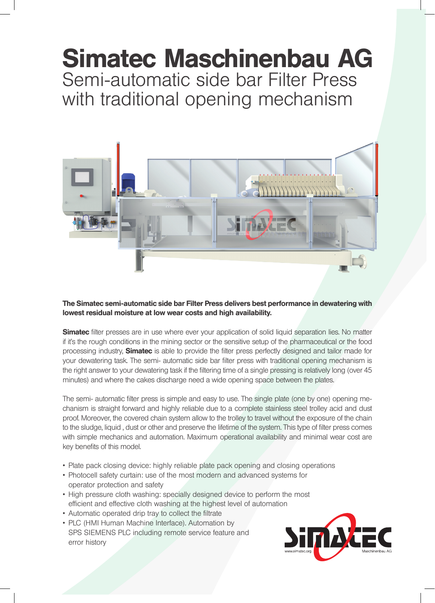## Simatec Maschinenbau AG Semi-automatic side bar Filter Press with traditional opening mechanism



## The Simatec semi-automatic side bar Filter Press delivers best performance in dewatering with lowest residual moisture at low wear costs and high availability.

Simatec filter presses are in use where ever your application of solid liquid separation lies. No matter if it's the rough conditions in the mining sector or the sensitive setup of the pharmaceutical or the food processing industry, **Simatec** is able to provide the filter press perfectly designed and tailor made for your dewatering task. The semi- automatic side bar filter press with traditional opening mechanism is the right answer to your dewatering task if the filtering time of a single pressing is relatively long (over 45 minutes) and where the cakes discharge need a wide opening space between the plates.

The semi- automatic filter press is simple and easy to use. The single plate (one by one) opening mechanism is straight forward and highly reliable due to a complete stainless steel trolley acid and dust proof. Moreover, the covered chain system allow to the trolley to travel without the exposure of the chain to the sludge, liquid , dust or other and preserve the lifetime of the system. This type of filter press comes with simple mechanics and automation. Maximum operational availability and minimal wear cost are key benefits of this model.

- Plate pack closing device: highly reliable plate pack opening and closing operations
- Photocell safety curtain: use of the most modern and advanced systems for operator protection and safety
- High pressure cloth washing: specially designed device to perform the most efficient and effective cloth washing at the highest level of automation
- Automatic operated drip tray to collect the filtrate
- PLC (HMI Human Machine Interface). Automation by SPS SIEMENS PLC including remote service feature and error history